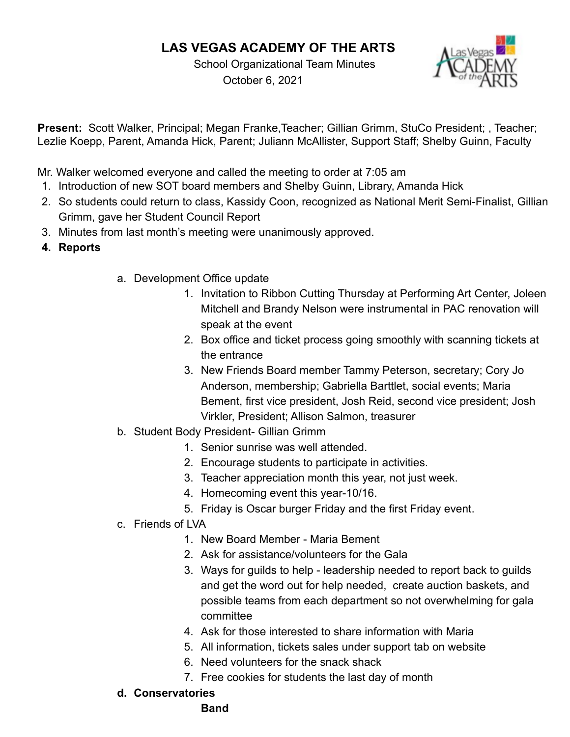# **LAS VEGAS ACADEMY OF THE ARTS**

School Organizational Team Minutes October 6, 2021



**Present:** Scott Walker, Principal; Megan Franke,Teacher; Gillian Grimm, StuCo President; , Teacher; Lezlie Koepp, Parent, Amanda Hick, Parent; Juliann McAllister, Support Staff; Shelby Guinn, Faculty

Mr. Walker welcomed everyone and called the meeting to order at 7:05 am

- 1. Introduction of new SOT board members and Shelby Guinn, Library, Amanda Hick
- 2. So students could return to class, Kassidy Coon, recognized as National Merit Semi-Finalist, Gillian Grimm, gave her Student Council Report
- 3. Minutes from last month's meeting were unanimously approved.
- **4. Reports**
- a. Development Office update
	- 1. Invitation to Ribbon Cutting Thursday at Performing Art Center, Joleen Mitchell and Brandy Nelson were instrumental in PAC renovation will speak at the event
	- 2. Box office and ticket process going smoothly with scanning tickets at the entrance
	- 3. New Friends Board member Tammy Peterson, secretary; Cory Jo Anderson, membership; Gabriella Barttlet, social events; Maria Bement, first vice president, Josh Reid, second vice president; Josh Virkler, President; Allison Salmon, treasurer
- b. Student Body President- Gillian Grimm
	- 1. Senior sunrise was well attended.
	- 2. Encourage students to participate in activities.
	- 3. Teacher appreciation month this year, not just week.
	- 4. Homecoming event this year-10/16.
	- 5. Friday is Oscar burger Friday and the first Friday event.
- c. Friends of LVA
	- 1. New Board Member Maria Bement
	- 2. Ask for assistance/volunteers for the Gala
	- 3. Ways for guilds to help leadership needed to report back to guilds and get the word out for help needed, create auction baskets, and possible teams from each department so not overwhelming for gala committee
	- 4. Ask for those interested to share information with Maria
	- 5. All information, tickets sales under support tab on website
	- 6. Need volunteers for the snack shack
	- 7. Free cookies for students the last day of month
- **d. Conservatories**

#### **Band**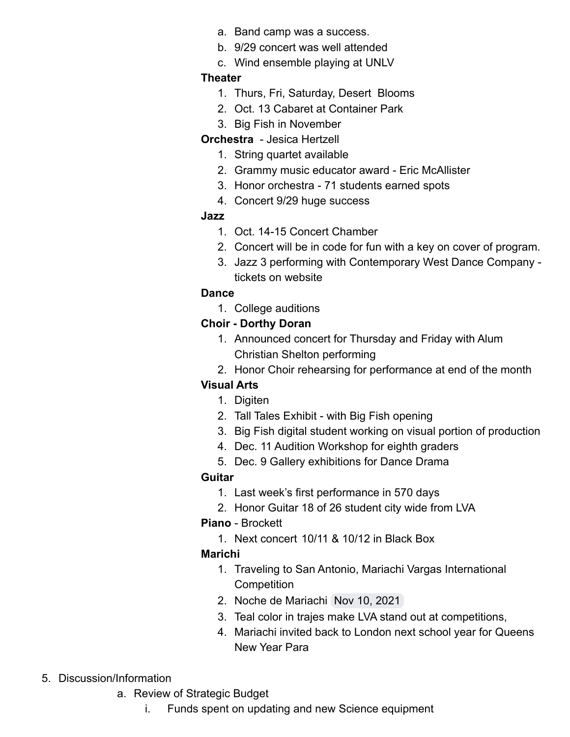- a. Band camp was a success.
- b. 9/29 concert was well attended
- c. Wind ensemble playing at UNLV

#### **Theater**

- 1. Thurs, Fri, Saturday, Desert Blooms
- 2. Oct. 13 Cabaret at Container Park
- 3. Big Fish in November

#### **Orchestra** - Jesica Hertzell

- 1. String quartet available
- 2. Grammy music educator award Eric McAllister
- 3. Honor orchestra 71 students earned spots
- 4. Concert 9/29 huge success

#### **Jazz**

- 1. Oct. 14-15 Concert Chamber
- 2. Concert will be in code for fun with a key on cover of program.
- 3. Jazz 3 performing with Contemporary West Dance Company tickets on website

#### **Dance**

1. College auditions

## **Choir - Dorthy Doran**

- 1. Announced concert for Thursday and Friday with Alum Christian Shelton performing
- 2. Honor Choir rehearsing for performance at end of the month

## **Visual Arts**

- 1. Digiten
- 2. Tall Tales Exhibit with Big Fish opening
- 3. Big Fish digital student working on visual portion of production
- 4. Dec. 11 Audition Workshop for eighth graders
- 5. Dec. 9 Gallery exhibitions for Dance Drama

## **Guitar**

- 1. Last week's first performance in 570 days
- 2. Honor Guitar 18 of 26 student city wide from LVA

## **Piano** - Brockett

1. Next concert 10/11 & 10/12 in Black Box

## **Marichi**

- 1. Traveling to San Antonio, Mariachi Vargas International **Competition**
- 2. Noche de Mariachi Nov 10, 2021
- 3. Teal color in trajes make LVA stand out at competitions,
- 4. Mariachi invited back to London next school year for Queens New Year Para
- 5. Discussion/Information
	- a. Review of Strategic Budget
		- i. Funds spent on updating and new Science equipment